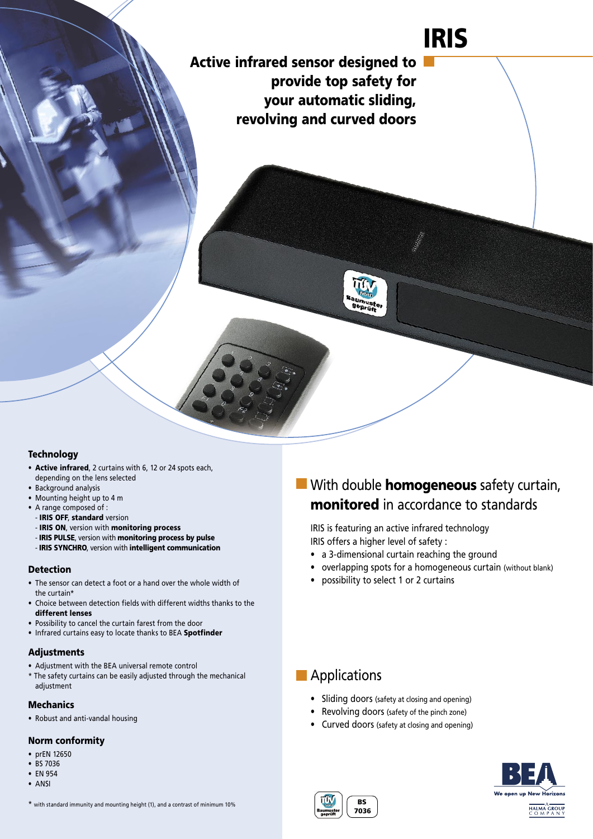# IRIS

Active infrared sensor designed to provide top safety for your automatic sliding, revolving and curved doors

#### **Technology**

- Active infrared, 2 curtains with 6, 12 or 24 spots each, depending on the lens selected
- Background analysis
- Mounting height up to 4 m
- A range composed of :
	- IRIS OFF, standard version
	- IRIS ON, version with monitoring process
- IRIS PULSE, version with monitoring process by pulse
- IRIS SYNCHRO, version with intelligent communication

#### Detection

- The sensor can detect a foot or a hand over the whole width of the curtain\*
- Choice between detection fields with different widths thanks to the different lenses
- Possibility to cancel the curtain farest from the door
- Infrared curtains easy to locate thanks to BEA Spotfinder

#### Adjustments

- Adjustment with the BEA universal remote control
- \* The safety curtains can be easily adjusted through the mechanical adjustment

#### Mechanics

• Robust and anti-vandal housing

#### Norm conformity

- prEN 12650
- BS 7036
- EN 954
- ANSI
- \* with standard immunity and mounting height (1), and a contrast of minimum 10%

## **With double homogeneous** safety curtain, monitored in accordance to standards

IRIS is featuring an active infrared technology IRIS offers a higher level of safety :

- a 3-dimensional curtain reaching the ground
- overlapping spots for a homogeneous curtain (without blank)
- possibility to select 1 or 2 curtains

### **Applications**

- Sliding doors (safety at closing and opening)
- Revolving doors (safety of the pinch zone)
- Curved doors (safety at closing and opening)